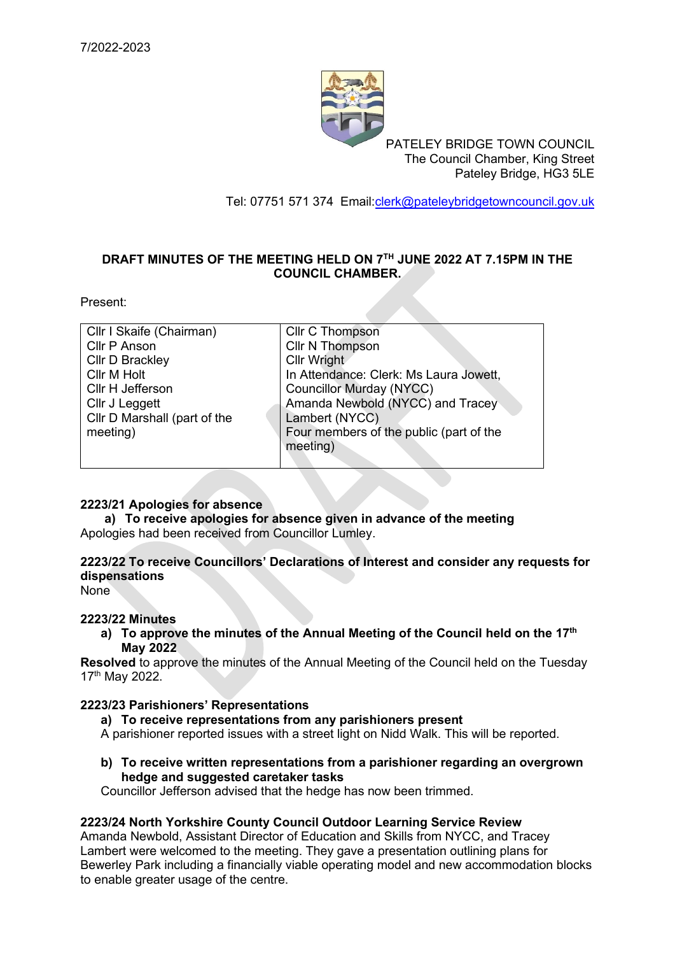

PATELEY BRIDGE TOWN COUNCIL The Council Chamber, King Street Pateley Bridge, HG3 5LE

Tel: 07751 571 374 Email[:clerk@pateleybridgetowncouncil.gov.uk](mailto:clerk@pateleybridgetowncouncil.gov.uk)

# **DRAFT MINUTES OF THE MEETING HELD ON 7 TH JUNE 2022 AT 7.15PM IN THE COUNCIL CHAMBER.**

Present:

| Cllr I Skaife (Chairman)     | Cllr C Thompson                         |
|------------------------------|-----------------------------------------|
| Cllr P Anson                 | Cllr N Thompson                         |
| Cllr D Brackley              | Cllr Wright                             |
| Cllr M Holt                  | In Attendance: Clerk: Ms Laura Jowett,  |
| Cllr H Jefferson             | <b>Councillor Murday (NYCC)</b>         |
| Cllr J Leggett               | Amanda Newbold (NYCC) and Tracey        |
| Cllr D Marshall (part of the | Lambert (NYCC)                          |
| meeting)                     | Four members of the public (part of the |
|                              | meeting)                                |
|                              |                                         |

## **2223/21 Apologies for absence**

**a) To receive apologies for absence given in advance of the meeting** Apologies had been received from Councillor Lumley.

# **2223/22 To receive Councillors' Declarations of Interest and consider any requests for dispensations**

None

## **2223/22 Minutes**

**a) To approve the minutes of the Annual Meeting of the Council held on the 17th May 2022**

**Resolved** to approve the minutes of the Annual Meeting of the Council held on the Tuesday 17<sup>th</sup> May 2022.

#### **2223/23 Parishioners' Representations**

**a) To receive representations from any parishioners present** 

A parishioner reported issues with a street light on Nidd Walk. This will be reported.

**b) To receive written representations from a parishioner regarding an overgrown hedge and suggested caretaker tasks**

Councillor Jefferson advised that the hedge has now been trimmed.

## **2223/24 North Yorkshire County Council Outdoor Learning Service Review**

Amanda Newbold, Assistant Director of Education and Skills from NYCC, and Tracey Lambert were welcomed to the meeting. They gave a presentation outlining plans for Bewerley Park including a financially viable operating model and new accommodation blocks to enable greater usage of the centre.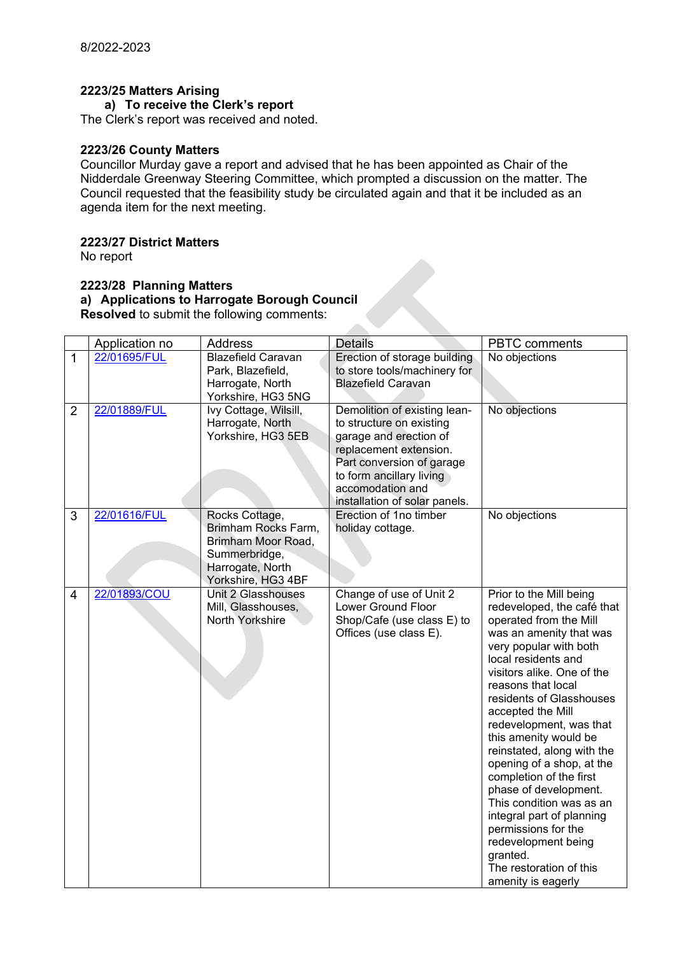## **2223/25 Matters Arising**

## **a) To receive the Clerk's report**

The Clerk's report was received and noted.

### **2223/26 County Matters**

Councillor Murday gave a report and advised that he has been appointed as Chair of the Nidderdale Greenway Steering Committee, which prompted a discussion on the matter. The Council requested that the feasibility study be circulated again and that it be included as an agenda item for the next meeting.

### **2223/27 District Matters**

No report

### **2223/28 Planning Matters a) Applications to Harrogate Borough Council Resolved** to submit the following comments:

|                | Application no | <b>Address</b>                                                                                                         | <b>Details</b>                                                                                                                                                                                                             | <b>PBTC</b> comments                                                                                                                                                                                                                                                                                                                                                                                                                                                                                                                                                                                    |
|----------------|----------------|------------------------------------------------------------------------------------------------------------------------|----------------------------------------------------------------------------------------------------------------------------------------------------------------------------------------------------------------------------|---------------------------------------------------------------------------------------------------------------------------------------------------------------------------------------------------------------------------------------------------------------------------------------------------------------------------------------------------------------------------------------------------------------------------------------------------------------------------------------------------------------------------------------------------------------------------------------------------------|
| $\mathbf{1}$   | 22/01695/FUL   | <b>Blazefield Caravan</b><br>Park, Blazefield,<br>Harrogate, North<br>Yorkshire, HG3 5NG                               | Erection of storage building<br>to store tools/machinery for<br><b>Blazefield Caravan</b>                                                                                                                                  | No objections                                                                                                                                                                                                                                                                                                                                                                                                                                                                                                                                                                                           |
| $\overline{2}$ | 22/01889/FUL   | Ivy Cottage, Wilsill,<br>Harrogate, North<br>Yorkshire, HG3 5EB                                                        | Demolition of existing lean-<br>to structure on existing<br>garage and erection of<br>replacement extension.<br>Part conversion of garage<br>to form ancillary living<br>accomodation and<br>installation of solar panels. | No objections                                                                                                                                                                                                                                                                                                                                                                                                                                                                                                                                                                                           |
| 3              | 22/01616/FUL   | Rocks Cottage,<br>Brimham Rocks Farm,<br>Brimham Moor Road,<br>Summerbridge,<br>Harrogate, North<br>Yorkshire, HG3 4BF | Erection of 1no timber<br>holiday cottage.                                                                                                                                                                                 | No objections                                                                                                                                                                                                                                                                                                                                                                                                                                                                                                                                                                                           |
| 4              | 22/01893/COU   | Unit 2 Glasshouses<br>Mill, Glasshouses,<br>North Yorkshire                                                            | Change of use of Unit 2<br><b>Lower Ground Floor</b><br>Shop/Cafe (use class E) to<br>Offices (use class E).                                                                                                               | Prior to the Mill being<br>redeveloped, the café that<br>operated from the Mill<br>was an amenity that was<br>very popular with both<br>local residents and<br>visitors alike. One of the<br>reasons that local<br>residents of Glasshouses<br>accepted the Mill<br>redevelopment, was that<br>this amenity would be<br>reinstated, along with the<br>opening of a shop, at the<br>completion of the first<br>phase of development.<br>This condition was as an<br>integral part of planning<br>permissions for the<br>redevelopment being<br>granted.<br>The restoration of this<br>amenity is eagerly |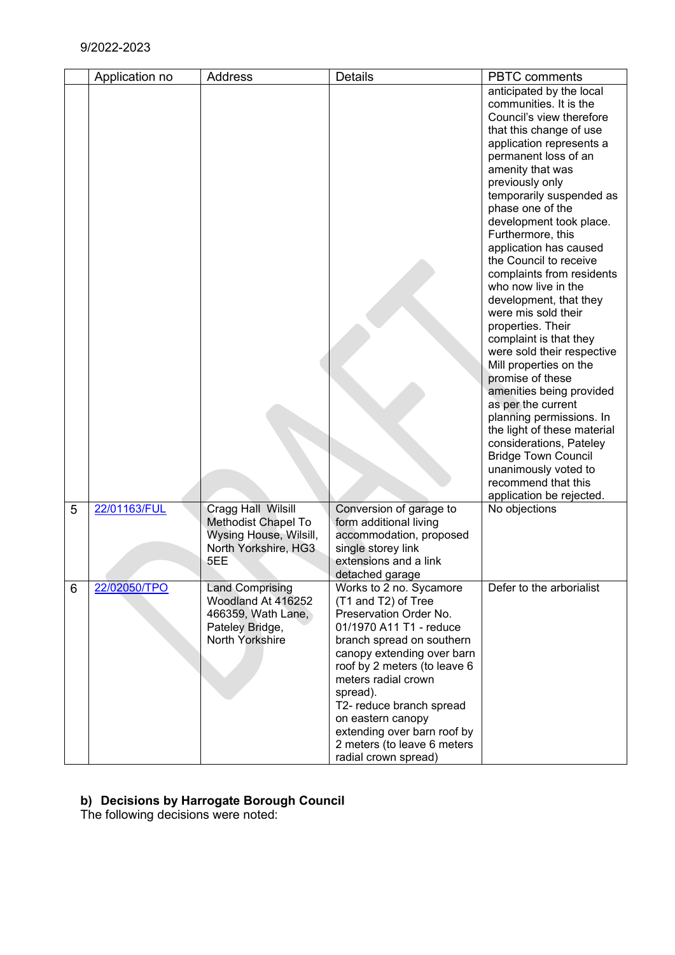| anticipated by the local<br>communities. It is the<br>Council's view therefore<br>that this change of use<br>application represents a |  |
|---------------------------------------------------------------------------------------------------------------------------------------|--|
|                                                                                                                                       |  |
|                                                                                                                                       |  |
|                                                                                                                                       |  |
|                                                                                                                                       |  |
|                                                                                                                                       |  |
| permanent loss of an                                                                                                                  |  |
| amenity that was                                                                                                                      |  |
| previously only                                                                                                                       |  |
| temporarily suspended as                                                                                                              |  |
| phase one of the                                                                                                                      |  |
| development took place.                                                                                                               |  |
| Furthermore, this<br>application has caused                                                                                           |  |
| the Council to receive                                                                                                                |  |
| complaints from residents                                                                                                             |  |
| who now live in the                                                                                                                   |  |
| development, that they                                                                                                                |  |
| were mis sold their                                                                                                                   |  |
| properties. Their                                                                                                                     |  |
| complaint is that they                                                                                                                |  |
| were sold their respective                                                                                                            |  |
| Mill properties on the                                                                                                                |  |
| promise of these                                                                                                                      |  |
| amenities being provided                                                                                                              |  |
| as per the current                                                                                                                    |  |
| planning permissions. In                                                                                                              |  |
| the light of these material                                                                                                           |  |
| considerations, Pateley                                                                                                               |  |
| <b>Bridge Town Council</b>                                                                                                            |  |
| unanimously voted to<br>recommend that this                                                                                           |  |
| application be rejected.                                                                                                              |  |
| 22/01163/FUL<br>Cragg Hall Wilsill<br>Conversion of garage to<br>5<br>No objections                                                   |  |
| Methodist Chapel To<br>form additional living                                                                                         |  |
| Wysing House, Wilsill,<br>accommodation, proposed                                                                                     |  |
| North Yorkshire, HG3<br>single storey link                                                                                            |  |
| 5EE<br>extensions and a link                                                                                                          |  |
| detached garage                                                                                                                       |  |
| 22/02050/TPO<br><b>Land Comprising</b><br>Defer to the arborialist<br>Works to 2 no. Sycamore<br>6                                    |  |
| Woodland At 416252<br>(T1 and T2) of Tree                                                                                             |  |
| Preservation Order No.<br>466359, Wath Lane,                                                                                          |  |
| 01/1970 A11 T1 - reduce<br>Pateley Bridge,                                                                                            |  |
| North Yorkshire<br>branch spread on southern                                                                                          |  |
| canopy extending over barn                                                                                                            |  |
| roof by 2 meters (to leave 6                                                                                                          |  |
| meters radial crown                                                                                                                   |  |
| spread).                                                                                                                              |  |
| T2- reduce branch spread<br>on eastern canopy                                                                                         |  |
| extending over barn roof by                                                                                                           |  |
| 2 meters (to leave 6 meters                                                                                                           |  |
| radial crown spread)                                                                                                                  |  |

# **b) Decisions by Harrogate Borough Council**

The following decisions were noted: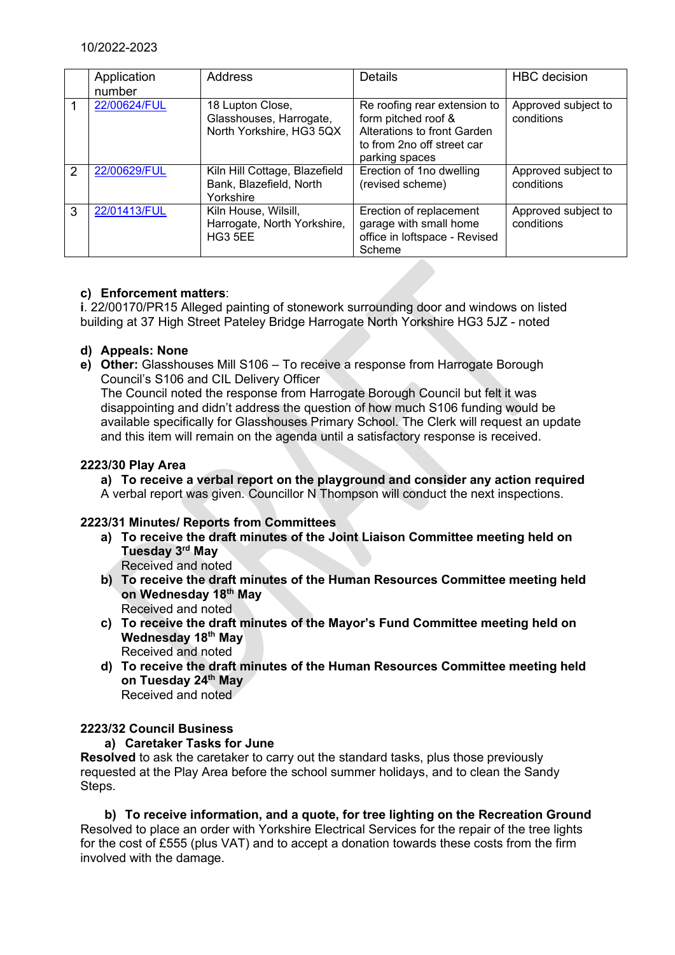|   | Application<br>number | <b>Address</b>                                                          | Details                                                                                                                            | <b>HBC</b> decision               |
|---|-----------------------|-------------------------------------------------------------------------|------------------------------------------------------------------------------------------------------------------------------------|-----------------------------------|
|   | 22/00624/FUL          | 18 Lupton Close,<br>Glasshouses, Harrogate,<br>North Yorkshire, HG3 5QX | Re roofing rear extension to<br>form pitched roof &<br>Alterations to front Garden<br>to from 2no off street car<br>parking spaces | Approved subject to<br>conditions |
| 2 | 22/00629/FUL          | Kiln Hill Cottage, Blazefield<br>Bank, Blazefield, North<br>Yorkshire   | Erection of 1no dwelling<br>(revised scheme)                                                                                       | Approved subject to<br>conditions |
| 3 | 22/01413/FUL          | Kiln House, Wilsill,<br>Harrogate, North Yorkshire,<br><b>HG3 5EE</b>   | Erection of replacement<br>garage with small home<br>office in loftspace - Revised<br>Scheme                                       | Approved subject to<br>conditions |

# **c) Enforcement matters**:

**i**. 22/00170/PR15 Alleged painting of stonework surrounding door and windows on listed building at 37 High Street Pateley Bridge Harrogate North Yorkshire HG3 5JZ - noted

## **d) Appeals: None**

**e) Other:** Glasshouses Mill S106 – To receive a response from Harrogate Borough Council's S106 and CIL Delivery Officer

The Council noted the response from Harrogate Borough Council but felt it was disappointing and didn't address the question of how much S106 funding would be available specifically for Glasshouses Primary School. The Clerk will request an update and this item will remain on the agenda until a satisfactory response is received.

## **2223/30 Play Area**

**a) To receive a verbal report on the playground and consider any action required**

A verbal report was given. Councillor N Thompson will conduct the next inspections.

# **2223/31 Minutes/ Reports from Committees**

- **a) To receive the draft minutes of the Joint Liaison Committee meeting held on Tuesday 3 rd May**
	- Received and noted
- **b) To receive the draft minutes of the Human Resources Committee meeting held on Wednesday 18th May** Received and noted
- **c) To receive the draft minutes of the Mayor's Fund Committee meeting held on Wednesday 18th May** Received and noted
- **d) To receive the draft minutes of the Human Resources Committee meeting held on Tuesday 24th May** Received and noted

# **2223/32 Council Business**

## **a) Caretaker Tasks for June**

**Resolved** to ask the caretaker to carry out the standard tasks, plus those previously requested at the Play Area before the school summer holidays, and to clean the Sandy Steps.

**b) To receive information, and a quote, for tree lighting on the Recreation Ground** Resolved to place an order with Yorkshire Electrical Services for the repair of the tree lights for the cost of £555 (plus VAT) and to accept a donation towards these costs from the firm involved with the damage.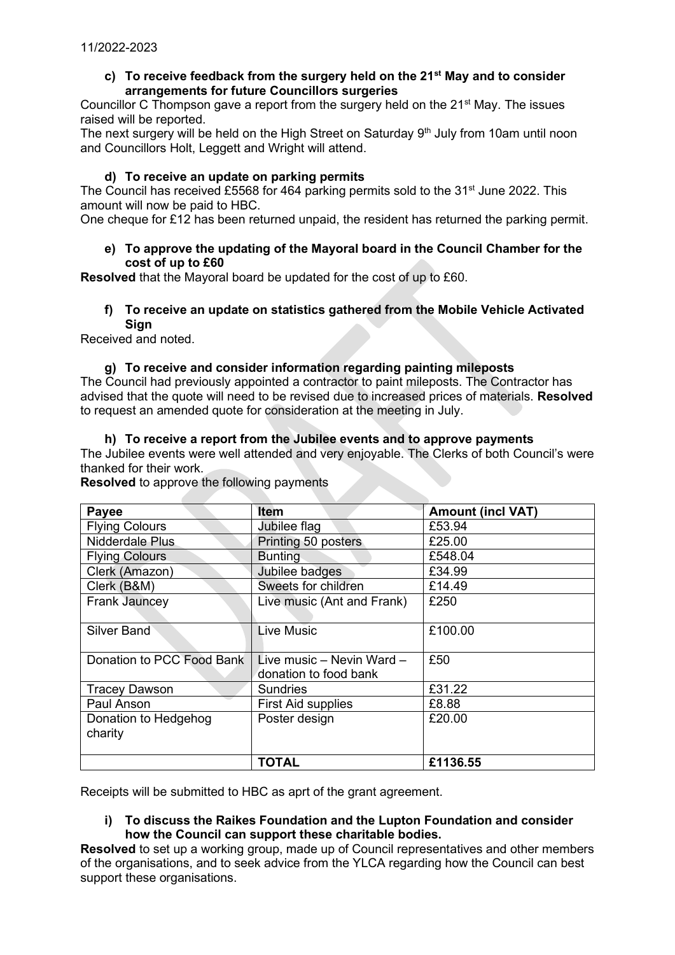## **c) To receive feedback from the surgery held on the 21st May and to consider arrangements for future Councillors surgeries**

Councillor C Thompson gave a report from the surgery held on the 21<sup>st</sup> May. The issues raised will be reported.

The next surgery will be held on the High Street on Saturday  $9<sup>th</sup>$  July from 10am until noon and Councillors Holt, Leggett and Wright will attend.

## **d) To receive an update on parking permits**

The Council has received £5568 for 464 parking permits sold to the  $31<sup>st</sup>$  June 2022. This amount will now be paid to HBC.

One cheque for £12 has been returned unpaid, the resident has returned the parking permit.

### **e) To approve the updating of the Mayoral board in the Council Chamber for the cost of up to £60**

**Resolved** that the Mayoral board be updated for the cost of up to £60.

#### **f) To receive an update on statistics gathered from the Mobile Vehicle Activated Sign**

Received and noted.

# **g) To receive and consider information regarding painting mileposts**

The Council had previously appointed a contractor to paint mileposts. The Contractor has advised that the quote will need to be revised due to increased prices of materials. **Resolved**  to request an amended quote for consideration at the meeting in July.

### **h) To receive a report from the Jubilee events and to approve payments**

The Jubilee events were well attended and very enjoyable. The Clerks of both Council's were thanked for their work.

**Resolved** to approve the following payments

| Payee                     | Item                                               | <b>Amount (incl VAT)</b> |
|---------------------------|----------------------------------------------------|--------------------------|
| <b>Flying Colours</b>     | Jubilee flag                                       | £53.94                   |
| Nidderdale Plus           | Printing 50 posters                                | £25.00                   |
| <b>Flying Colours</b>     | <b>Bunting</b>                                     | £548.04                  |
| Clerk (Amazon)            | Jubilee badges                                     | £34.99                   |
| Clerk (B&M)               | Sweets for children                                | £14.49                   |
| <b>Frank Jauncey</b>      | Live music (Ant and Frank)                         | £250                     |
| Silver Band               | <b>Live Music</b>                                  | £100.00                  |
| Donation to PCC Food Bank | Live music - Nevin Ward -<br>donation to food bank | £50                      |
| <b>Tracey Dawson</b>      | <b>Sundries</b>                                    | £31.22                   |
| Paul Anson                | <b>First Aid supplies</b>                          | £8.88                    |
| Donation to Hedgehog      | Poster design                                      | £20.00                   |
| charity                   |                                                    |                          |
|                           | <b>TOTAL</b>                                       | £1136.55                 |

Receipts will be submitted to HBC as aprt of the grant agreement.

### **i) To discuss the Raikes Foundation and the Lupton Foundation and consider how the Council can support these charitable bodies.**

**Resolved** to set up a working group, made up of Council representatives and other members of the organisations, and to seek advice from the YLCA regarding how the Council can best support these organisations.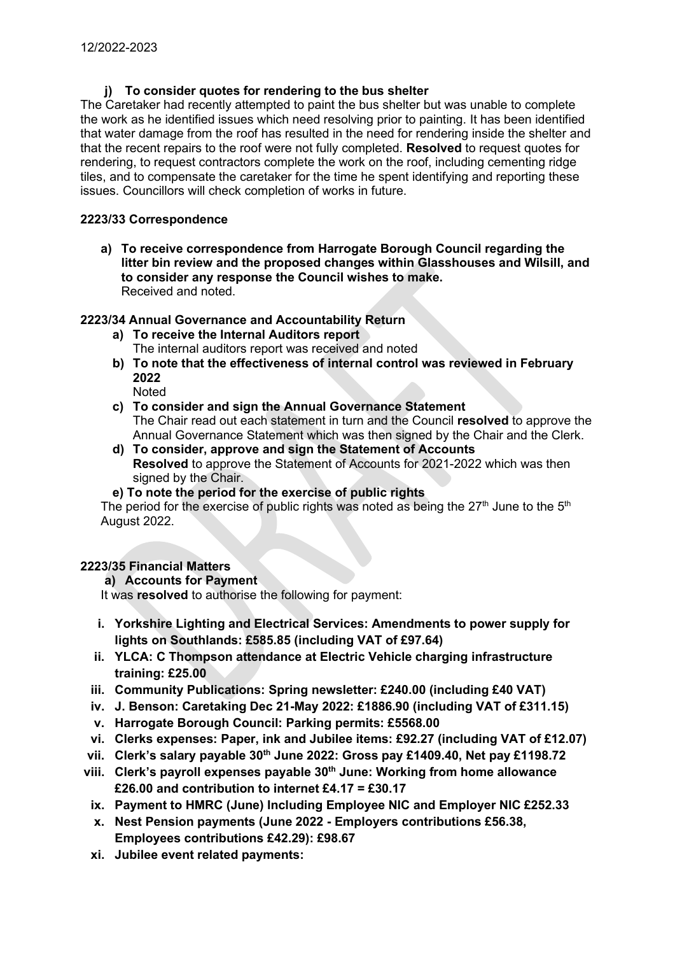## **j) To consider quotes for rendering to the bus shelter**

The Caretaker had recently attempted to paint the bus shelter but was unable to complete the work as he identified issues which need resolving prior to painting. It has been identified that water damage from the roof has resulted in the need for rendering inside the shelter and that the recent repairs to the roof were not fully completed. **Resolved** to request quotes for rendering, to request contractors complete the work on the roof, including cementing ridge tiles, and to compensate the caretaker for the time he spent identifying and reporting these issues. Councillors will check completion of works in future.

## **2223/33 Correspondence**

**a) To receive correspondence from Harrogate Borough Council regarding the litter bin review and the proposed changes within Glasshouses and Wilsill, and to consider any response the Council wishes to make.** Received and noted.

## **2223/34 Annual Governance and Accountability Return**

- **a) To receive the Internal Auditors report**  The internal auditors report was received and noted
- **b) To note that the effectiveness of internal control was reviewed in February 2022**
	- Noted
- **c) To consider and sign the Annual Governance Statement**  The Chair read out each statement in turn and the Council **resolved** to approve the Annual Governance Statement which was then signed by the Chair and the Clerk.
- **d) To consider, approve and sign the Statement of Accounts Resolved** to approve the Statement of Accounts for 2021-2022 which was then signed by the Chair.
- **e) To note the period for the exercise of public rights**

The period for the exercise of public rights was noted as being the 27<sup>th</sup> June to the 5<sup>th</sup> August 2022.

# **2223/35 Financial Matters**

## **a) Accounts for Payment**

It was **resolved** to authorise the following for payment:

- **i. Yorkshire Lighting and Electrical Services: Amendments to power supply for lights on Southlands: £585.85 (including VAT of £97.64)**
- **ii. YLCA: C Thompson attendance at Electric Vehicle charging infrastructure training: £25.00**
- **iii. Community Publications: Spring newsletter: £240.00 (including £40 VAT)**
- **iv. J. Benson: Caretaking Dec 21-May 2022: £1886.90 (including VAT of £311.15)**
- **v. Harrogate Borough Council: Parking permits: £5568.00**
- **vi. Clerks expenses: Paper, ink and Jubilee items: £92.27 (including VAT of £12.07)**
- **vii. Clerk's salary payable 30th June 2022: Gross pay £1409.40, Net pay £1198.72**
- **viii. Clerk's payroll expenses payable 30th June: Working from home allowance £26.00 and contribution to internet £4.17 = £30.17**
- **ix. Payment to HMRC (June) Including Employee NIC and Employer NIC £252.33**
- **x. Nest Pension payments (June 2022 - Employers contributions £56.38, Employees contributions £42.29): £98.67**
- **xi. Jubilee event related payments:**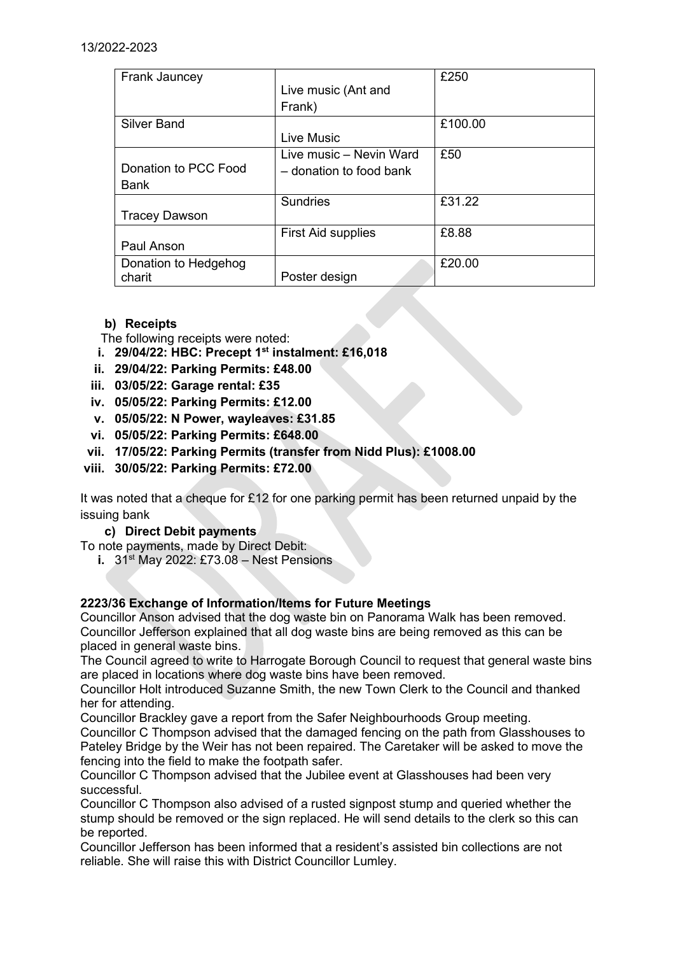| Frank Jauncey        |                           | £250    |
|----------------------|---------------------------|---------|
|                      | Live music (Ant and       |         |
|                      | Frank)                    |         |
| <b>Silver Band</b>   |                           | £100.00 |
|                      | <b>Live Music</b>         |         |
|                      | Live music - Nevin Ward   | £50     |
| Donation to PCC Food | - donation to food bank   |         |
| Bank                 |                           |         |
|                      | <b>Sundries</b>           | £31.22  |
| <b>Tracey Dawson</b> |                           |         |
|                      | <b>First Aid supplies</b> | £8.88   |
| Paul Anson           |                           |         |
| Donation to Hedgehog |                           | £20.00  |
| charit               | Poster design             |         |

# **b) Receipts**

The following receipts were noted:

- **i. 29/04/22: HBC: Precept 1st instalment: £16,018**
- **ii. 29/04/22: Parking Permits: £48.00**
- **iii. 03/05/22: Garage rental: £35**
- **iv. 05/05/22: Parking Permits: £12.00**
- **v. 05/05/22: N Power, wayleaves: £31.85**
- **vi. 05/05/22: Parking Permits: £648.00**
- **vii. 17/05/22: Parking Permits (transfer from Nidd Plus): £1008.00**
- **viii. 30/05/22: Parking Permits: £72.00**

It was noted that a cheque for £12 for one parking permit has been returned unpaid by the issuing bank

**c) Direct Debit payments**

To note payments, made by Direct Debit:

**i.** 31<sup>st</sup> May 2022: £73.08 – Nest Pensions

## **2223/36 Exchange of Information/Items for Future Meetings**

Councillor Anson advised that the dog waste bin on Panorama Walk has been removed. Councillor Jefferson explained that all dog waste bins are being removed as this can be placed in general waste bins.

The Council agreed to write to Harrogate Borough Council to request that general waste bins are placed in locations where dog waste bins have been removed.

Councillor Holt introduced Suzanne Smith, the new Town Clerk to the Council and thanked her for attending.

Councillor Brackley gave a report from the Safer Neighbourhoods Group meeting.

Councillor C Thompson advised that the damaged fencing on the path from Glasshouses to Pateley Bridge by the Weir has not been repaired. The Caretaker will be asked to move the fencing into the field to make the footpath safer.

Councillor C Thompson advised that the Jubilee event at Glasshouses had been very successful.

Councillor C Thompson also advised of a rusted signpost stump and queried whether the stump should be removed or the sign replaced. He will send details to the clerk so this can be reported.

Councillor Jefferson has been informed that a resident's assisted bin collections are not reliable. She will raise this with District Councillor Lumley.